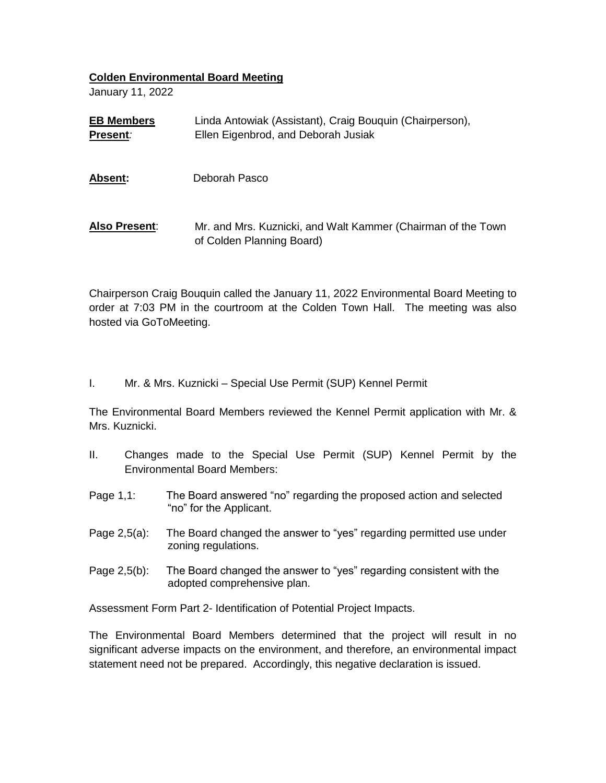## **Colden Environmental Board Meeting**

January 11, 2022

| <b>EB Members</b><br>Present: | Linda Antowiak (Assistant), Craig Bouquin (Chairperson),<br>Ellen Eigenbrod, and Deborah Jusiak |
|-------------------------------|-------------------------------------------------------------------------------------------------|
| <b>Absent:</b>                | Deborah Pasco                                                                                   |
| Also Present:                 | Mr. and Mrs. Kuznicki, and Walt Kammer (Chairman of the Town<br>of Colden Planning Board)       |

Chairperson Craig Bouquin called the January 11, 2022 Environmental Board Meeting to order at 7:03 PM in the courtroom at the Colden Town Hall. The meeting was also hosted via GoToMeeting.

I. Mr. & Mrs. Kuznicki – Special Use Permit (SUP) Kennel Permit

The Environmental Board Members reviewed the Kennel Permit application with Mr. & Mrs. Kuznicki.

- II. Changes made to the Special Use Permit (SUP) Kennel Permit by the Environmental Board Members:
- Page 1,1: The Board answered "no" regarding the proposed action and selected "no" for the Applicant.
- Page 2,5(a): The Board changed the answer to "yes" regarding permitted use under zoning regulations.
- Page 2,5(b): The Board changed the answer to "yes" regarding consistent with the adopted comprehensive plan.

Assessment Form Part 2- Identification of Potential Project Impacts.

The Environmental Board Members determined that the project will result in no significant adverse impacts on the environment, and therefore, an environmental impact statement need not be prepared. Accordingly, this negative declaration is issued.